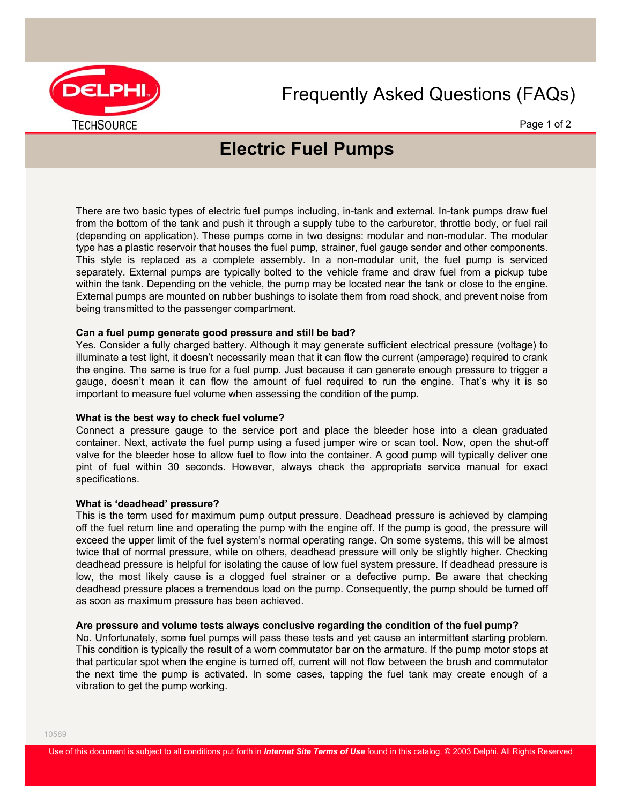

## Frequently Asked Questions (FAQs)

Page 1 of 2

# **Electric Fuel Pumps**

There are two basic types of electric fuel pumps including, in-tank and external. In-tank pumps draw fuel from the bottom of the tank and push it through a supply tube to the carburetor, throttle body, or fuel rail (depending on application). These pumps come in two designs: modular and non-modular. The modular type has a plastic reservoir that houses the fuel pump, strainer, fuel gauge sender and other components. This style is replaced as a complete assembly. In a non-modular unit, the fuel pump is serviced separately. External pumps are typically bolted to the vehicle frame and draw fuel from a pickup tube within the tank. Depending on the vehicle, the pump may be located near the tank or close to the engine. External pumps are mounted on rubber bushings to isolate them from road shock, and prevent noise from being transmitted to the passenger compartment.

#### **Can a fuel pump generate good pressure and still be bad?**

Yes. Consider a fully charged battery. Although it may generate sufficient electrical pressure (voltage) to illuminate a test light, it doesn't necessarily mean that it can flow the current (amperage) required to crank the engine. The same is true for a fuel pump. Just because it can generate enough pressure to trigger a gauge, doesn't mean it can flow the amount of fuel required to run the engine. That's why it is so important to measure fuel volume when assessing the condition of the pump.

#### **What is the best way to check fuel volume?**

Connect a pressure gauge to the service port and place the bleeder hose into a clean graduated container. Next, activate the fuel pump using a fused jumper wire or scan tool. Now, open the shut-off valve for the bleeder hose to allow fuel to flow into the container. A good pump will typically deliver one pint of fuel within 30 seconds. However, always check the appropriate service manual for exact specifications.

#### **What is 'deadhead' pressure?**

This is the term used for maximum pump output pressure. Deadhead pressure is achieved by clamping off the fuel return line and operating the pump with the engine off. If the pump is good, the pressure will exceed the upper limit of the fuel system's normal operating range. On some systems, this will be almost twice that of normal pressure, while on others, deadhead pressure will only be slightly higher. Checking deadhead pressure is helpful for isolating the cause of low fuel system pressure. If deadhead pressure is low, the most likely cause is a clogged fuel strainer or a defective pump. Be aware that checking deadhead pressure places a tremendous load on the pump. Consequently, the pump should be turned off as soon as maximum pressure has been achieved.

#### **Are pressure and volume tests always conclusive regarding the condition of the fuel pump?**

No. Unfortunately, some fuel pumps will pass these tests and yet cause an intermittent starting problem. This condition is typically the result of a worn commutator bar on the armature. If the pump motor stops at that particular spot when the engine is turned off, current will not flow between the brush and commutator the next time the pump is activated. In some cases, tapping the fuel tank may create enough of a vibration to get the pump working.